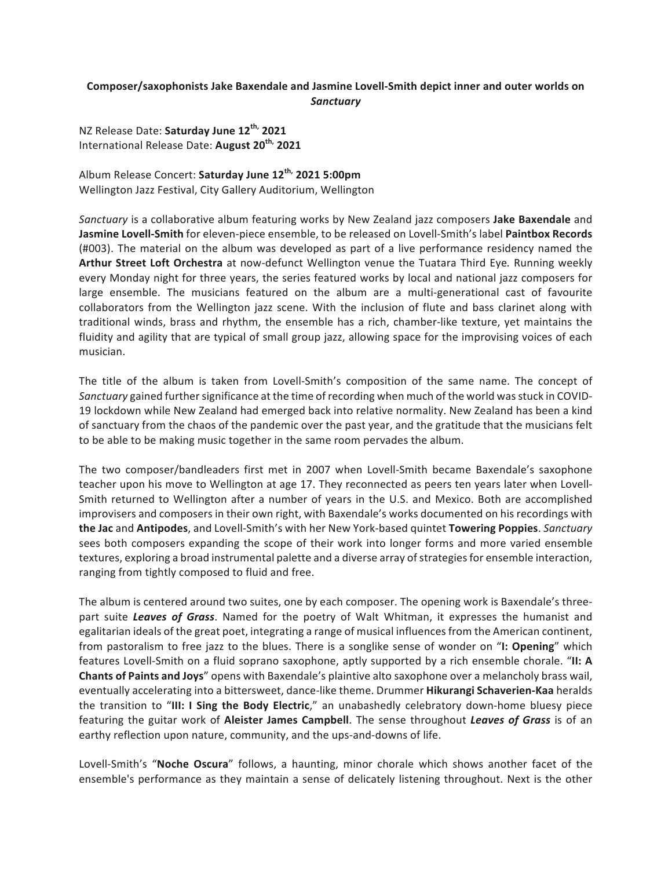## Composer/saxophonists Jake Baxendale and Jasmine Lovell-Smith depict inner and outer worlds on *Sanctuary*

NZ Release Date: **Saturday June 12th, 2021** International Release Date: **August 20th, 2021**

Album Release Concert: **Saturday June 12th, 2021 5:00pm** Wellington Jazz Festival, City Gallery Auditorium, Wellington

*Sanctuary* is a collaborative album featuring works by New Zealand jazz composers **Jake Baxendale** and Jasmine Lovell-Smith for eleven-piece ensemble, to be released on Lovell-Smith's label Paintbox Records (#003). The material on the album was developed as part of a live performance residency named the **Arthur Street Loft Orchestra** at now-defunct Wellington venue the Tuatara Third Eye. Running weekly every Monday night for three years, the series featured works by local and national jazz composers for large ensemble. The musicians featured on the album are a multi-generational cast of favourite collaborators from the Wellington jazz scene. With the inclusion of flute and bass clarinet along with traditional winds, brass and rhythm, the ensemble has a rich, chamber-like texture, yet maintains the fluidity and agility that are typical of small group jazz, allowing space for the improvising voices of each musician. 

The title of the album is taken from Lovell-Smith's composition of the same name. The concept of *Sanctuary* gained further significance at the time of recording when much of the world was stuck in COVID-19 lockdown while New Zealand had emerged back into relative normality. New Zealand has been a kind of sanctuary from the chaos of the pandemic over the past year, and the gratitude that the musicians felt to be able to be making music together in the same room pervades the album.

The two composer/bandleaders first met in 2007 when Lovell-Smith became Baxendale's saxophone teacher upon his move to Wellington at age 17. They reconnected as peers ten years later when Lovell-Smith returned to Wellington after a number of years in the U.S. and Mexico. Both are accomplished improvisers and composers in their own right, with Baxendale's works documented on his recordings with **the Jac** and **Antipodes**, and Lovell-Smith's with her New York-based quintet **Towering Poppies**. *Sanctuary* sees both composers expanding the scope of their work into longer forms and more varied ensemble textures, exploring a broad instrumental palette and a diverse array of strategies for ensemble interaction, ranging from tightly composed to fluid and free.

The album is centered around two suites, one by each composer. The opening work is Baxendale's threepart suite **Leaves of Grass**. Named for the poetry of Walt Whitman, it expresses the humanist and egalitarian ideals of the great poet, integrating a range of musical influences from the American continent, from pastoralism to free jazz to the blues. There is a songlike sense of wonder on "**I: Opening**" which features Lovell-Smith on a fluid soprano saxophone, aptly supported by a rich ensemble chorale. "II: A **Chants of Paints and Joys**" opens with Baxendale's plaintive alto saxophone over a melancholy brass wail, eventually accelerating into a bittersweet, dance-like theme. Drummer **Hikurangi Schaverien-Kaa** heralds the transition to "III: I Sing the Body Electric," an unabashedly celebratory down-home bluesy piece featuring the guitar work of **Aleister James Campbell**. The sense throughout *Leaves of Grass* is of an earthy reflection upon nature, community, and the ups-and-downs of life.

Lovell-Smith's "Noche Oscura" follows, a haunting, minor chorale which shows another facet of the ensemble's performance as they maintain a sense of delicately listening throughout. Next is the other